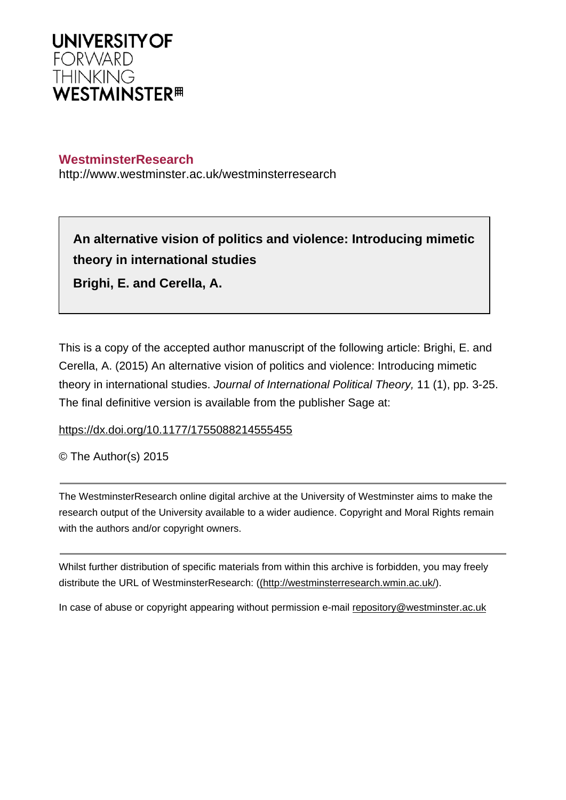

# **WestminsterResearch**

http://www.westminster.ac.uk/westminsterresearch

**An alternative vision of politics and violence: Introducing mimetic theory in international studies Brighi, E. and Cerella, A.**

This is a copy of the accepted author manuscript of the following article: Brighi, E. and Cerella, A. (2015) An alternative vision of politics and violence: Introducing mimetic theory in international studies. Journal of International Political Theory, 11 (1), pp. 3-25. The final definitive version is available from the publisher Sage at:

<https://dx.doi.org/10.1177/1755088214555455>

© The Author(s) 2015

The WestminsterResearch online digital archive at the University of Westminster aims to make the research output of the University available to a wider audience. Copyright and Moral Rights remain with the authors and/or copyright owners.

Whilst further distribution of specific materials from within this archive is forbidden, you may freely distribute the URL of WestminsterResearch: [\(\(http://westminsterresearch.wmin.ac.uk/](http://westminsterresearch.wmin.ac.uk/)).

In case of abuse or copyright appearing without permission e-mail <repository@westminster.ac.uk>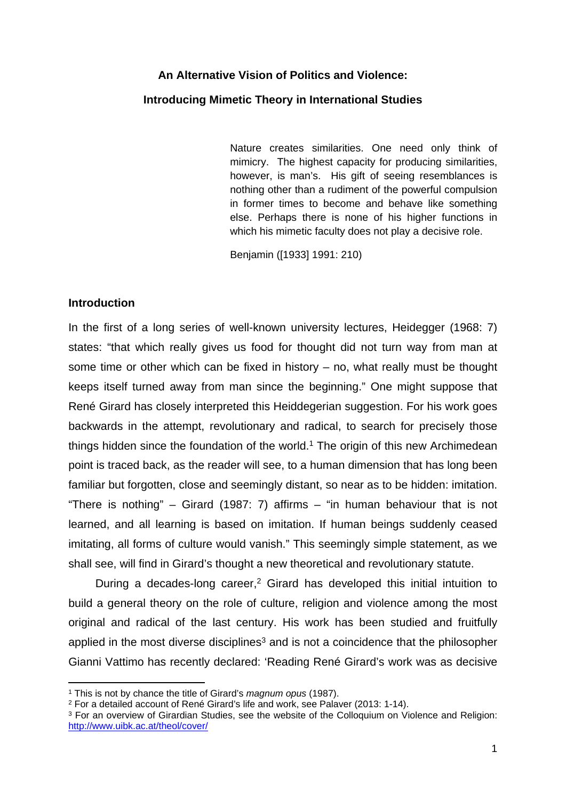# **An Alternative Vision of Politics and Violence:**

# **Introducing Mimetic Theory in International Studies**

Nature creates similarities. One need only think of mimicry. The highest capacity for producing similarities, however, is man's. His gift of seeing resemblances is nothing other than a rudiment of the powerful compulsion in former times to become and behave like something else. Perhaps there is none of his higher functions in which his mimetic faculty does not play a decisive role.

Benjamin ([1933] 1991: 210)

#### **Introduction**

In the first of a long series of well-known university lectures, Heidegger (1968: 7) states: "that which really gives us food for thought did not turn way from man at some time or other which can be fixed in history – no, what really must be thought keeps itself turned away from man since the beginning." One might suppose that René Girard has closely interpreted this Heiddegerian suggestion. For his work goes backwards in the attempt, revolutionary and radical, to search for precisely those things hidden since the foundation of the world. $1$  The origin of this new Archimedean point is traced back, as the reader will see, to a human dimension that has long been familiar but forgotten, close and seemingly distant, so near as to be hidden: imitation. "There is nothing" – Girard (1987: 7) affirms – "in human behaviour that is not learned, and all learning is based on imitation. If human beings suddenly ceased imitating, all forms of culture would vanish." This seemingly simple statement, as we shall see, will find in Girard's thought a new theoretical and revolutionary statute.

During a decades-long career,<sup>2</sup> Girard has developed this initial intuition to build a general theory on the role of culture, religion and violence among the most original and radical of the last century. His work has been studied and fruitfully applied in the most diverse disciplines<sup>3</sup> and is not a coincidence that the philosopher Gianni Vattimo has recently declared: 'Reading René Girard's work was as decisive

<sup>1</sup> This is not by chance the title of Girard's *magnum opus* (1987).

<sup>2</sup> For a detailed account of René Girard's life and work, see Palaver (2013: 1-14).

<sup>&</sup>lt;sup>3</sup> For an overview of Girardian Studies, see the website of the Colloquium on Violence and Religion: <http://www.uibk.ac.at/theol/cover/>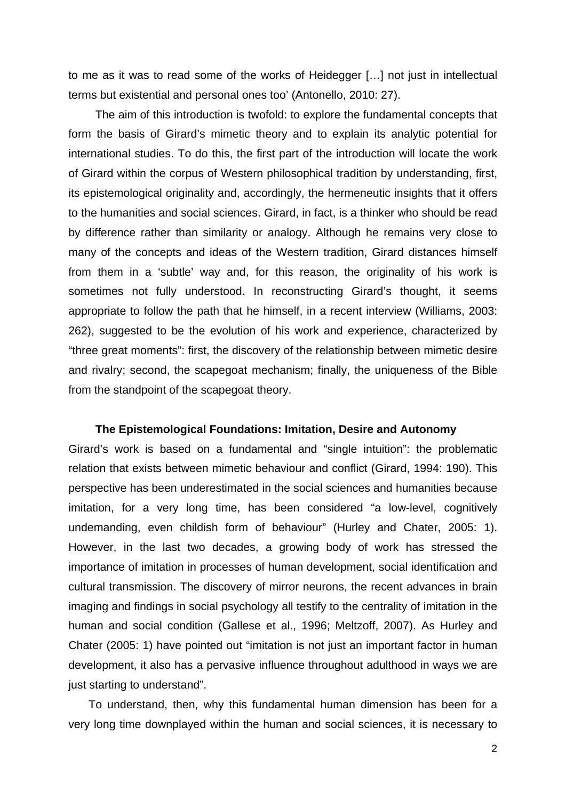to me as it was to read some of the works of Heidegger […] not just in intellectual terms but existential and personal ones too' (Antonello, 2010: 27).

The aim of this introduction is twofold: to explore the fundamental concepts that form the basis of Girard's mimetic theory and to explain its analytic potential for international studies. To do this, the first part of the introduction will locate the work of Girard within the corpus of Western philosophical tradition by understanding, first, its epistemological originality and, accordingly, the hermeneutic insights that it offers to the humanities and social sciences. Girard, in fact, is a thinker who should be read by difference rather than similarity or analogy. Although he remains very close to many of the concepts and ideas of the Western tradition, Girard distances himself from them in a 'subtle' way and, for this reason, the originality of his work is sometimes not fully understood. In reconstructing Girard's thought, it seems appropriate to follow the path that he himself, in a recent interview (Williams, 2003: 262), suggested to be the evolution of his work and experience, characterized by "three great moments": first, the discovery of the relationship between mimetic desire and rivalry; second, the scapegoat mechanism; finally, the uniqueness of the Bible from the standpoint of the scapegoat theory.

#### **The Epistemological Foundations: Imitation, Desire and Autonomy**

Girard's work is based on a fundamental and "single intuition": the problematic relation that exists between mimetic behaviour and conflict (Girard, 1994: 190). This perspective has been underestimated in the social sciences and humanities because imitation, for a very long time, has been considered "a low-level, cognitively undemanding, even childish form of behaviour" (Hurley and Chater, 2005: 1). However, in the last two decades, a growing body of work has stressed the importance of imitation in processes of human development, social identification and cultural transmission. The discovery of mirror neurons, the recent advances in brain imaging and findings in social psychology all testify to the centrality of imitation in the human and social condition (Gallese et al., 1996; Meltzoff, 2007). As Hurley and Chater (2005: 1) have pointed out "imitation is not just an important factor in human development, it also has a pervasive influence throughout adulthood in ways we are just starting to understand".

To understand, then, why this fundamental human dimension has been for a very long time downplayed within the human and social sciences, it is necessary to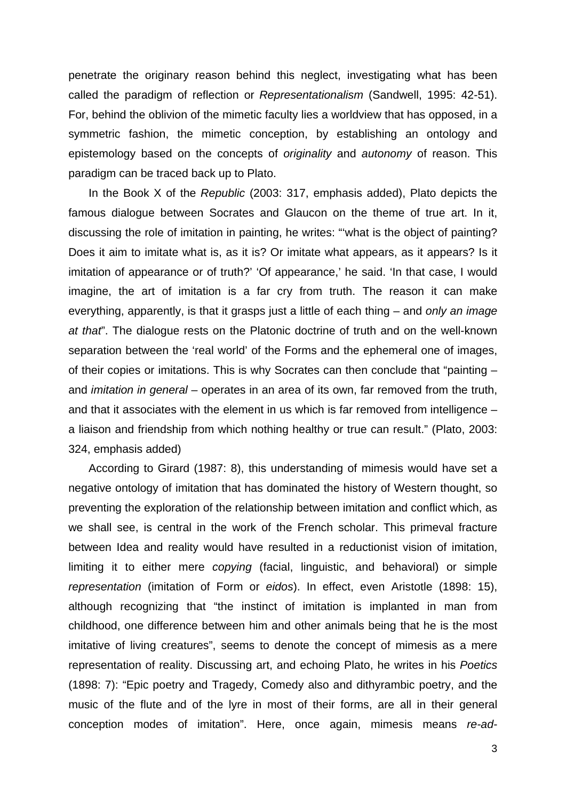penetrate the originary reason behind this neglect, investigating what has been called the paradigm of reflection or *Representationalism* (Sandwell, 1995: 42-51). For, behind the oblivion of the mimetic faculty lies a worldview that has opposed, in a symmetric fashion, the mimetic conception, by establishing an ontology and epistemology based on the concepts of *originality* and *autonomy* of reason. This paradigm can be traced back up to Plato.

In the Book X of the *Republic* (2003: 317, emphasis added), Plato depicts the famous dialogue between Socrates and Glaucon on the theme of true art. In it, discussing the role of imitation in painting, he writes: "'what is the object of painting? Does it aim to imitate what is, as it is? Or imitate what appears, as it appears? Is it imitation of appearance or of truth?' 'Of appearance,' he said. 'In that case, I would imagine, the art of imitation is a far cry from truth. The reason it can make everything, apparently, is that it grasps just a little of each thing – and *only an image at that*". The dialogue rests on the Platonic doctrine of truth and on the well-known separation between the 'real world' of the Forms and the ephemeral one of images, of their copies or imitations. This is why Socrates can then conclude that "painting – and *imitation in general* – operates in an area of its own, far removed from the truth, and that it associates with the element in us which is far removed from intelligence – a liaison and friendship from which nothing healthy or true can result." (Plato, 2003: 324, emphasis added)

According to Girard (1987: 8), this understanding of mimesis would have set a negative ontology of imitation that has dominated the history of Western thought, so preventing the exploration of the relationship between imitation and conflict which, as we shall see, is central in the work of the French scholar. This primeval fracture between Idea and reality would have resulted in a reductionist vision of imitation, limiting it to either mere *copying* (facial, linguistic, and behavioral) or simple *representation* (imitation of Form or *eidos*). In effect, even Aristotle (1898: 15), although recognizing that "the instinct of imitation is implanted in man from childhood, one difference between him and other animals being that he is the most imitative of living creatures", seems to denote the concept of mimesis as a mere representation of reality. Discussing art, and echoing Plato, he writes in his *Poetics* (1898: 7): "Epic poetry and Tragedy, Comedy also and dithyrambic poetry, and the music of the flute and of the lyre in most of their forms, are all in their general conception modes of imitation". Here, once again, mimesis means *re-ad-*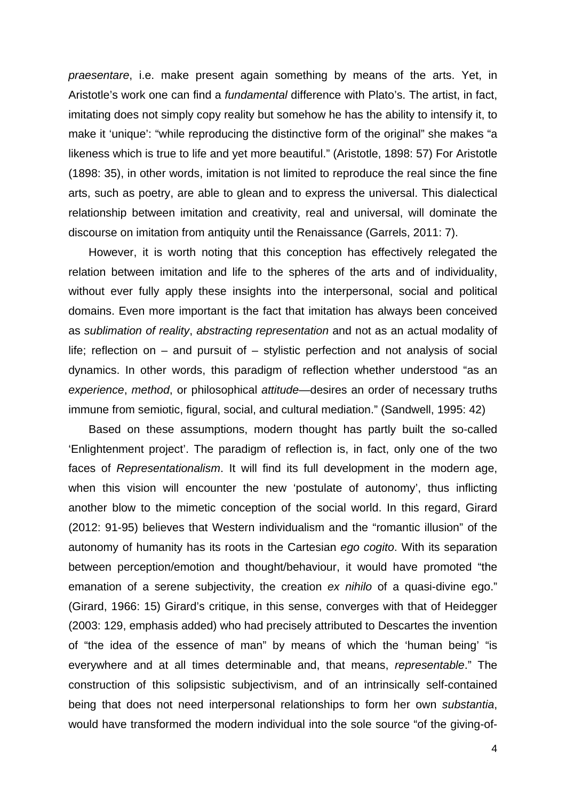*praesentare*, i.e. make present again something by means of the arts. Yet, in Aristotle's work one can find a *fundamental* difference with Plato's. The artist, in fact, imitating does not simply copy reality but somehow he has the ability to intensify it, to make it 'unique': "while reproducing the distinctive form of the original" she makes "a likeness which is true to life and yet more beautiful." (Aristotle, 1898: 57) For Aristotle (1898: 35), in other words, imitation is not limited to reproduce the real since the fine arts, such as poetry, are able to glean and to express the universal. This dialectical relationship between imitation and creativity, real and universal, will dominate the discourse on imitation from antiquity until the Renaissance (Garrels, 2011: 7).

However, it is worth noting that this conception has effectively relegated the relation between imitation and life to the spheres of the arts and of individuality, without ever fully apply these insights into the interpersonal, social and political domains. Even more important is the fact that imitation has always been conceived as *sublimation of reality*, *abstracting representation* and not as an actual modality of life; reflection on – and pursuit of – stylistic perfection and not analysis of social dynamics. In other words, this paradigm of reflection whether understood "as an *experience*, *method*, or philosophical *attitude*—desires an order of necessary truths immune from semiotic, figural, social, and cultural mediation." (Sandwell, 1995: 42)

Based on these assumptions, modern thought has partly built the so-called 'Enlightenment project'. The paradigm of reflection is, in fact, only one of the two faces of *Representationalism*. It will find its full development in the modern age, when this vision will encounter the new 'postulate of autonomy', thus inflicting another blow to the mimetic conception of the social world. In this regard, Girard (2012: 91-95) believes that Western individualism and the "romantic illusion" of the autonomy of humanity has its roots in the Cartesian *ego cogito*. With its separation between perception/emotion and thought/behaviour, it would have promoted "the emanation of a serene subjectivity, the creation *ex nihilo* of a quasi-divine ego." (Girard, 1966: 15) Girard's critique, in this sense, converges with that of Heidegger (2003: 129, emphasis added) who had precisely attributed to Descartes the invention of "the idea of the essence of man" by means of which the 'human being' "is everywhere and at all times determinable and, that means, *representable*." The construction of this solipsistic subjectivism, and of an intrinsically self-contained being that does not need interpersonal relationships to form her own *substantia*, would have transformed the modern individual into the sole source "of the giving-of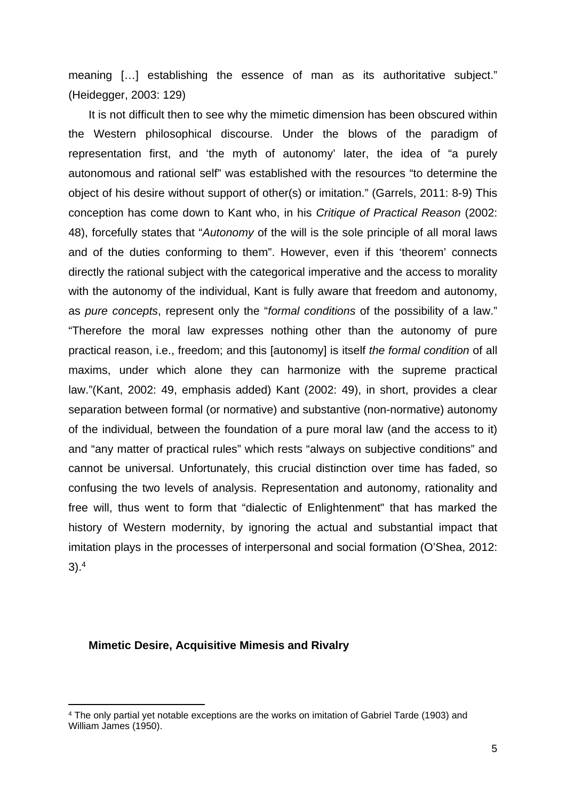meaning […] establishing the essence of man as its authoritative subject." (Heidegger, 2003: 129)

It is not difficult then to see why the mimetic dimension has been obscured within the Western philosophical discourse. Under the blows of the paradigm of representation first, and 'the myth of autonomy' later, the idea of "a purely autonomous and rational self" was established with the resources "to determine the object of his desire without support of other(s) or imitation." (Garrels, 2011: 8-9) This conception has come down to Kant who, in his *Critique of Practical Reason* (2002: 48), forcefully states that "*Autonomy* of the will is the sole principle of all moral laws and of the duties conforming to them". However, even if this 'theorem' connects directly the rational subject with the categorical imperative and the access to morality with the autonomy of the individual, Kant is fully aware that freedom and autonomy, as *pure concepts*, represent only the "*formal conditions* of the possibility of a law." "Therefore the moral law expresses nothing other than the autonomy of pure practical reason, i.e., freedom; and this [autonomy] is itself *the formal condition* of all maxims, under which alone they can harmonize with the supreme practical law."(Kant, 2002: 49, emphasis added) Kant (2002: 49), in short, provides a clear separation between formal (or normative) and substantive (non-normative) autonomy of the individual, between the foundation of a pure moral law (and the access to it) and "any matter of practical rules" which rests "always on subjective conditions" and cannot be universal. Unfortunately, this crucial distinction over time has faded, so confusing the two levels of analysis. Representation and autonomy, rationality and free will, thus went to form that "dialectic of Enlightenment" that has marked the history of Western modernity, by ignoring the actual and substantial impact that imitation plays in the processes of interpersonal and social formation (O'Shea, 2012: 3).<sup>4</sup>

#### **Mimetic Desire, Acquisitive Mimesis and Rivalry**

<sup>4</sup> The only partial yet notable exceptions are the works on imitation of Gabriel Tarde (1903) and William James (1950).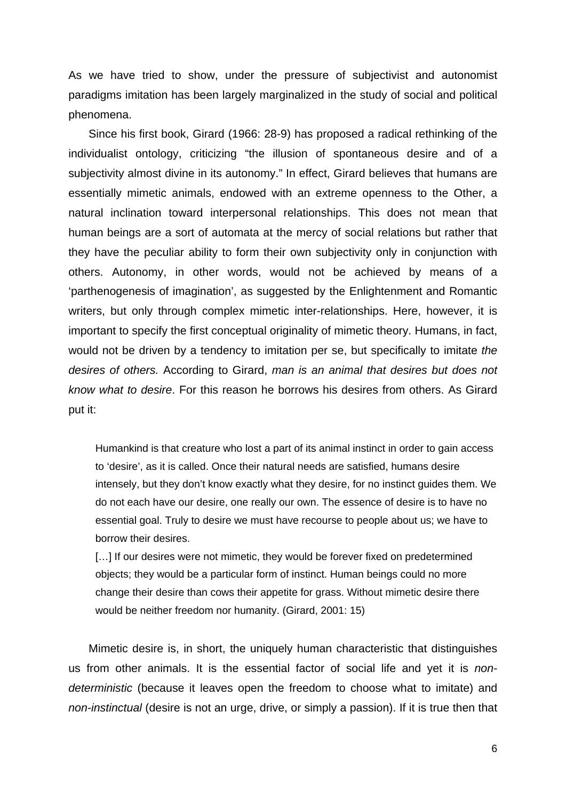As we have tried to show, under the pressure of subjectivist and autonomist paradigms imitation has been largely marginalized in the study of social and political phenomena.

Since his first book, Girard (1966: 28-9) has proposed a radical rethinking of the individualist ontology, criticizing "the illusion of spontaneous desire and of a subjectivity almost divine in its autonomy." In effect, Girard believes that humans are essentially mimetic animals, endowed with an extreme openness to the Other, a natural inclination toward interpersonal relationships. This does not mean that human beings are a sort of automata at the mercy of social relations but rather that they have the peculiar ability to form their own subjectivity only in conjunction with others. Autonomy, in other words, would not be achieved by means of a 'parthenogenesis of imagination', as suggested by the Enlightenment and Romantic writers, but only through complex mimetic inter-relationships. Here, however, it is important to specify the first conceptual originality of mimetic theory. Humans, in fact, would not be driven by a tendency to imitation per se, but specifically to imitate *the desires of others.* According to Girard, *man is an animal that desires but does not know what to desire*. For this reason he borrows his desires from others. As Girard put it:

Humankind is that creature who lost a part of its animal instinct in order to gain access to 'desire', as it is called. Once their natural needs are satisfied, humans desire intensely, but they don't know exactly what they desire, for no instinct guides them. We do not each have our desire, one really our own. The essence of desire is to have no essential goal. Truly to desire we must have recourse to people about us; we have to borrow their desires.

[...] If our desires were not mimetic, they would be forever fixed on predetermined objects; they would be a particular form of instinct. Human beings could no more change their desire than cows their appetite for grass. Without mimetic desire there would be neither freedom nor humanity. (Girard, 2001: 15)

Mimetic desire is, in short, the uniquely human characteristic that distinguishes us from other animals. It is the essential factor of social life and yet it is *nondeterministic* (because it leaves open the freedom to choose what to imitate) and *non-instinctual* (desire is not an urge, drive, or simply a passion). If it is true then that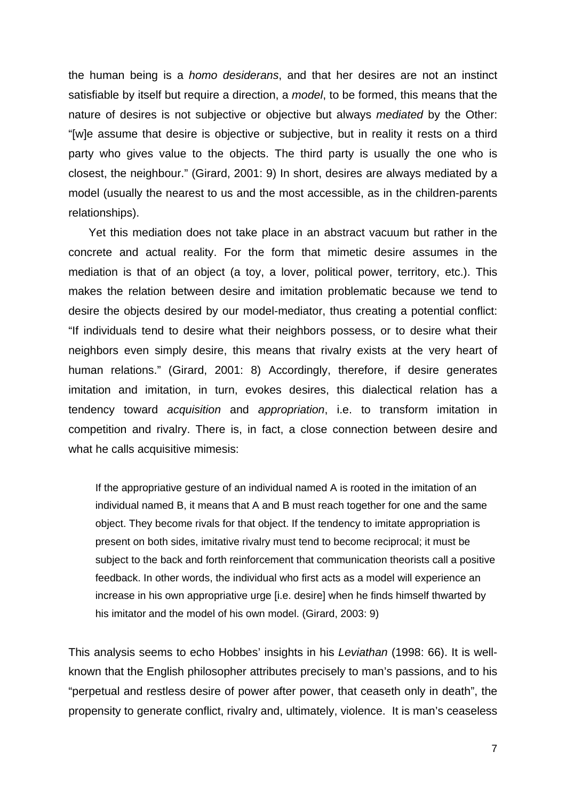the human being is a *homo desiderans*, and that her desires are not an instinct satisfiable by itself but require a direction, a *model*, to be formed, this means that the nature of desires is not subjective or objective but always *mediated* by the Other: "[w]e assume that desire is objective or subjective, but in reality it rests on a third party who gives value to the objects. The third party is usually the one who is closest, the neighbour." (Girard, 2001: 9) In short, desires are always mediated by a model (usually the nearest to us and the most accessible, as in the children-parents relationships).

Yet this mediation does not take place in an abstract vacuum but rather in the concrete and actual reality. For the form that mimetic desire assumes in the mediation is that of an object (a toy, a lover, political power, territory, etc.). This makes the relation between desire and imitation problematic because we tend to desire the objects desired by our model-mediator, thus creating a potential conflict: "If individuals tend to desire what their neighbors possess, or to desire what their neighbors even simply desire, this means that rivalry exists at the very heart of human relations." (Girard, 2001: 8) Accordingly, therefore, if desire generates imitation and imitation, in turn, evokes desires, this dialectical relation has a tendency toward *acquisition* and *appropriation*, i.e. to transform imitation in competition and rivalry. There is, in fact, a close connection between desire and what he calls acquisitive mimesis:

If the appropriative gesture of an individual named A is rooted in the imitation of an individual named B, it means that A and B must reach together for one and the same object. They become rivals for that object. If the tendency to imitate appropriation is present on both sides, imitative rivalry must tend to become reciprocal; it must be subject to the back and forth reinforcement that communication theorists call a positive feedback. In other words, the individual who first acts as a model will experience an increase in his own appropriative urge [i.e. desire] when he finds himself thwarted by his imitator and the model of his own model. (Girard, 2003: 9)

This analysis seems to echo Hobbes' insights in his *Leviathan* (1998: 66). It is wellknown that the English philosopher attributes precisely to man's passions, and to his "perpetual and restless desire of power after power, that ceaseth only in death", the propensity to generate conflict, rivalry and, ultimately, violence. It is man's ceaseless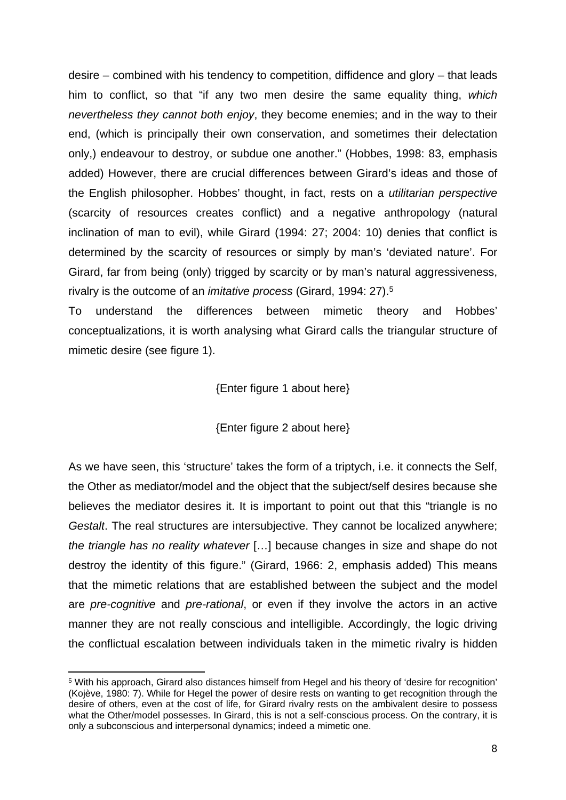desire – combined with his tendency to competition, diffidence and glory – that leads him to conflict, so that "if any two men desire the same equality thing, *which nevertheless they cannot both enjoy*, they become enemies; and in the way to their end, (which is principally their own conservation, and sometimes their delectation only,) endeavour to destroy, or subdue one another." (Hobbes, 1998: 83, emphasis added) However, there are crucial differences between Girard's ideas and those of the English philosopher. Hobbes' thought, in fact, rests on a *utilitarian perspective* (scarcity of resources creates conflict) and a negative anthropology (natural inclination of man to evil), while Girard (1994: 27; 2004: 10) denies that conflict is determined by the scarcity of resources or simply by man's 'deviated nature'. For Girard, far from being (only) trigged by scarcity or by man's natural aggressiveness, rivalry is the outcome of an *imitative process* (Girard, 1994: 27).<sup>5</sup>

To understand the differences between mimetic theory and Hobbes' conceptualizations, it is worth analysing what Girard calls the triangular structure of mimetic desire (see figure 1).

# {Enter figure 1 about here}

{Enter figure 2 about here}

As we have seen, this 'structure' takes the form of a triptych, i.e. it connects the Self, the Other as mediator/model and the object that the subject/self desires because she believes the mediator desires it. It is important to point out that this "triangle is no *Gestalt*. The real structures are intersubjective. They cannot be localized anywhere; *the triangle has no reality whatever* […] because changes in size and shape do not destroy the identity of this figure." (Girard, 1966: 2, emphasis added) This means that the mimetic relations that are established between the subject and the model are *pre-cognitive* and *pre-rational*, or even if they involve the actors in an active manner they are not really conscious and intelligible. Accordingly, the logic driving the conflictual escalation between individuals taken in the mimetic rivalry is hidden

<sup>&</sup>lt;sup>5</sup> With his approach, Girard also distances himself from Hegel and his theory of 'desire for recognition' (Kojève, 1980: 7). While for Hegel the power of desire rests on wanting to get recognition through the desire of others, even at the cost of life, for Girard rivalry rests on the ambivalent desire to possess what the Other/model possesses. In Girard, this is not a self-conscious process. On the contrary, it is only a subconscious and interpersonal dynamics; indeed a mimetic one.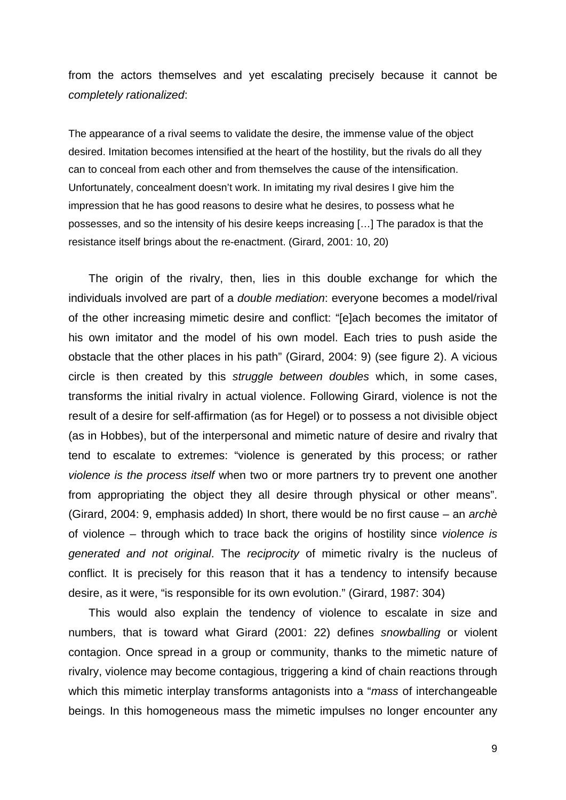from the actors themselves and yet escalating precisely because it cannot be *completely rationalized*:

The appearance of a rival seems to validate the desire, the immense value of the object desired. Imitation becomes intensified at the heart of the hostility, but the rivals do all they can to conceal from each other and from themselves the cause of the intensification. Unfortunately, concealment doesn't work. In imitating my rival desires I give him the impression that he has good reasons to desire what he desires, to possess what he possesses, and so the intensity of his desire keeps increasing […] The paradox is that the resistance itself brings about the re-enactment. (Girard, 2001: 10, 20)

The origin of the rivalry, then, lies in this double exchange for which the individuals involved are part of a *double mediation*: everyone becomes a model/rival of the other increasing mimetic desire and conflict: "[e]ach becomes the imitator of his own imitator and the model of his own model. Each tries to push aside the obstacle that the other places in his path" (Girard, 2004: 9) (see figure 2). A vicious circle is then created by this *struggle between doubles* which, in some cases, transforms the initial rivalry in actual violence. Following Girard, violence is not the result of a desire for self-affirmation (as for Hegel) or to possess a not divisible object (as in Hobbes), but of the interpersonal and mimetic nature of desire and rivalry that tend to escalate to extremes: "violence is generated by this process; or rather *violence is the process itself* when two or more partners try to prevent one another from appropriating the object they all desire through physical or other means". (Girard, 2004: 9, emphasis added) In short, there would be no first cause – an *archè* of violence – through which to trace back the origins of hostility since *violence is generated and not original*. The *reciprocity* of mimetic rivalry is the nucleus of conflict. It is precisely for this reason that it has a tendency to intensify because desire, as it were, "is responsible for its own evolution." (Girard, 1987: 304)

This would also explain the tendency of violence to escalate in size and numbers, that is toward what Girard (2001: 22) defines *snowballing* or violent contagion. Once spread in a group or community, thanks to the mimetic nature of rivalry, violence may become contagious, triggering a kind of chain reactions through which this mimetic interplay transforms antagonists into a "*mass* of interchangeable beings. In this homogeneous mass the mimetic impulses no longer encounter any

9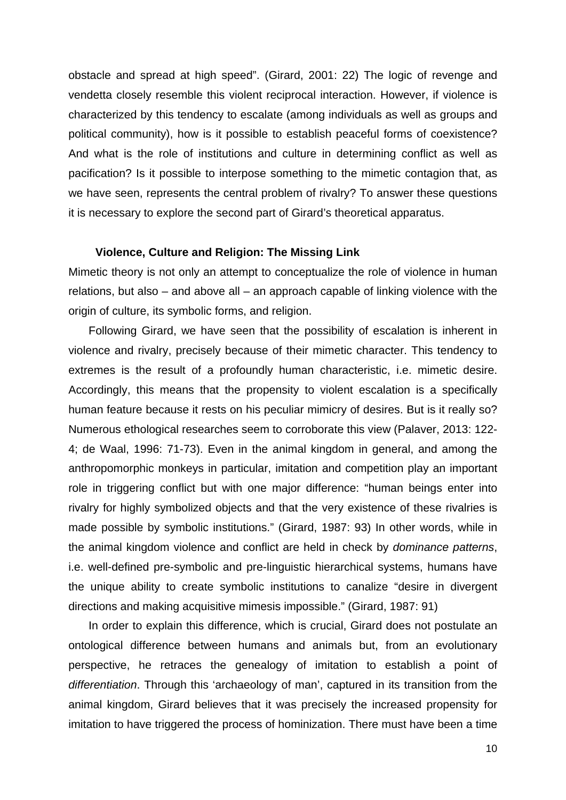obstacle and spread at high speed". (Girard, 2001: 22) The logic of revenge and vendetta closely resemble this violent reciprocal interaction. However, if violence is characterized by this tendency to escalate (among individuals as well as groups and political community), how is it possible to establish peaceful forms of coexistence? And what is the role of institutions and culture in determining conflict as well as pacification? Is it possible to interpose something to the mimetic contagion that, as we have seen, represents the central problem of rivalry? To answer these questions it is necessary to explore the second part of Girard's theoretical apparatus.

# **Violence, Culture and Religion: The Missing Link**

Mimetic theory is not only an attempt to conceptualize the role of violence in human relations, but also – and above all – an approach capable of linking violence with the origin of culture, its symbolic forms, and religion.

Following Girard, we have seen that the possibility of escalation is inherent in violence and rivalry, precisely because of their mimetic character. This tendency to extremes is the result of a profoundly human characteristic, i.e. mimetic desire. Accordingly, this means that the propensity to violent escalation is a specifically human feature because it rests on his peculiar mimicry of desires. But is it really so? Numerous ethological researches seem to corroborate this view (Palaver, 2013: 122- 4; de Waal, 1996: 71-73). Even in the animal kingdom in general, and among the anthropomorphic monkeys in particular, imitation and competition play an important role in triggering conflict but with one major difference: "human beings enter into rivalry for highly symbolized objects and that the very existence of these rivalries is made possible by symbolic institutions." (Girard, 1987: 93) In other words, while in the animal kingdom violence and conflict are held in check by *dominance patterns*, i.e. well-defined pre-symbolic and pre-linguistic hierarchical systems, humans have the unique ability to create symbolic institutions to canalize "desire in divergent directions and making acquisitive mimesis impossible." (Girard, 1987: 91)

In order to explain this difference, which is crucial, Girard does not postulate an ontological difference between humans and animals but, from an evolutionary perspective, he retraces the genealogy of imitation to establish a point of *differentiation*. Through this 'archaeology of man', captured in its transition from the animal kingdom, Girard believes that it was precisely the increased propensity for imitation to have triggered the process of hominization. There must have been a time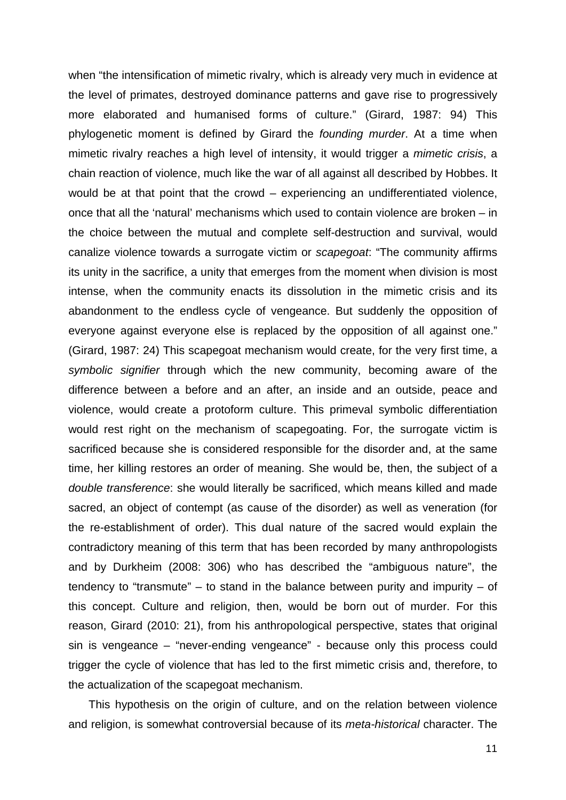when "the intensification of mimetic rivalry, which is already very much in evidence at the level of primates, destroyed dominance patterns and gave rise to progressively more elaborated and humanised forms of culture." (Girard, 1987: 94) This phylogenetic moment is defined by Girard the *founding murder*. At a time when mimetic rivalry reaches a high level of intensity, it would trigger a *mimetic crisis*, a chain reaction of violence, much like the war of all against all described by Hobbes. It would be at that point that the crowd – experiencing an undifferentiated violence, once that all the 'natural' mechanisms which used to contain violence are broken – in the choice between the mutual and complete self-destruction and survival, would canalize violence towards a surrogate victim or *scapegoat*: "The community affirms its unity in the sacrifice, a unity that emerges from the moment when division is most intense, when the community enacts its dissolution in the mimetic crisis and its abandonment to the endless cycle of vengeance. But suddenly the opposition of everyone against everyone else is replaced by the opposition of all against one." (Girard, 1987: 24) This scapegoat mechanism would create, for the very first time, a *symbolic signifier* through which the new community, becoming aware of the difference between a before and an after, an inside and an outside, peace and violence, would create a protoform culture. This primeval symbolic differentiation would rest right on the mechanism of scapegoating. For, the surrogate victim is sacrificed because she is considered responsible for the disorder and, at the same time, her killing restores an order of meaning. She would be, then, the subject of a *double transference*: she would literally be sacrificed, which means killed and made sacred, an object of contempt (as cause of the disorder) as well as veneration (for the re-establishment of order). This dual nature of the sacred would explain the contradictory meaning of this term that has been recorded by many anthropologists and by Durkheim (2008: 306) who has described the "ambiguous nature", the tendency to "transmute"  $-$  to stand in the balance between purity and impurity  $-$  of this concept. Culture and religion, then, would be born out of murder. For this reason, Girard (2010: 21), from his anthropological perspective, states that original sin is vengeance – "never-ending vengeance" - because only this process could trigger the cycle of violence that has led to the first mimetic crisis and, therefore, to the actualization of the scapegoat mechanism.

This hypothesis on the origin of culture, and on the relation between violence and religion, is somewhat controversial because of its *meta-historical* character. The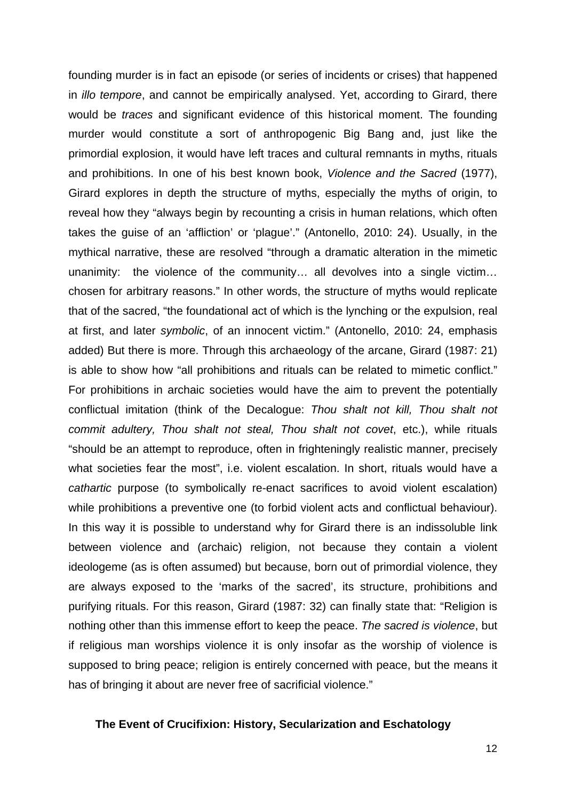founding murder is in fact an episode (or series of incidents or crises) that happened in *illo tempore*, and cannot be empirically analysed. Yet, according to Girard, there would be *traces* and significant evidence of this historical moment. The founding murder would constitute a sort of anthropogenic Big Bang and, just like the primordial explosion, it would have left traces and cultural remnants in myths, rituals and prohibitions. In one of his best known book, *Violence and the Sacred* (1977), Girard explores in depth the structure of myths, especially the myths of origin, to reveal how they "always begin by recounting a crisis in human relations, which often takes the guise of an 'affliction' or 'plague'." (Antonello, 2010: 24). Usually, in the mythical narrative, these are resolved "through a dramatic alteration in the mimetic unanimity: the violence of the community… all devolves into a single victim… chosen for arbitrary reasons." In other words, the structure of myths would replicate that of the sacred, "the foundational act of which is the lynching or the expulsion, real at first, and later *symbolic*, of an innocent victim." (Antonello, 2010: 24, emphasis added) But there is more. Through this archaeology of the arcane, Girard (1987: 21) is able to show how "all prohibitions and rituals can be related to mimetic conflict." For prohibitions in archaic societies would have the aim to prevent the potentially conflictual imitation (think of the Decalogue: *Thou shalt not kill, Thou shalt not commit adultery, Thou shalt not steal, Thou shalt not covet*, etc.), while rituals "should be an attempt to reproduce, often in frighteningly realistic manner, precisely what societies fear the most", i.e. violent escalation. In short, rituals would have a *cathartic* purpose (to symbolically re-enact sacrifices to avoid violent escalation) while prohibitions a preventive one (to forbid violent acts and conflictual behaviour). In this way it is possible to understand why for Girard there is an indissoluble link between violence and (archaic) religion, not because they contain a violent ideologeme (as is often assumed) but because, born out of primordial violence, they are always exposed to the 'marks of the sacred', its structure, prohibitions and purifying rituals. For this reason, Girard (1987: 32) can finally state that: "Religion is nothing other than this immense effort to keep the peace. *The sacred is violence*, but if religious man worships violence it is only insofar as the worship of violence is supposed to bring peace; religion is entirely concerned with peace, but the means it has of bringing it about are never free of sacrificial violence."

## **The Event of Crucifixion: History, Secularization and Eschatology**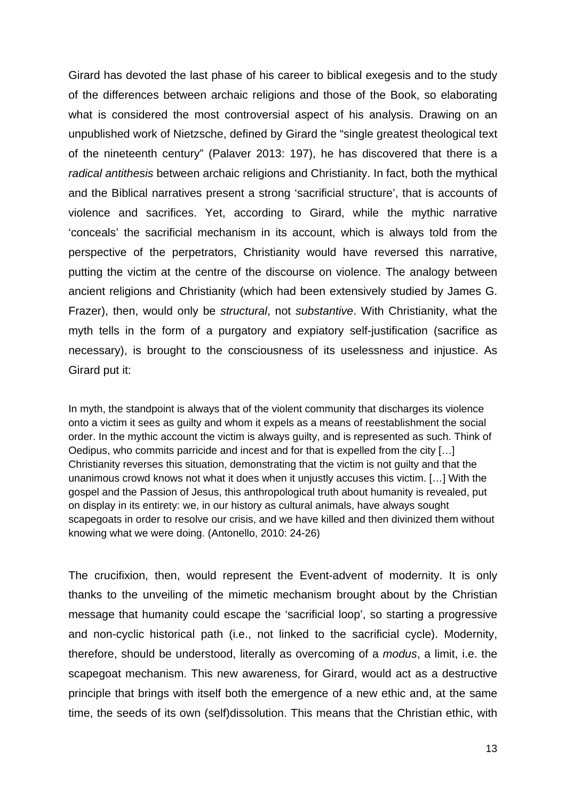Girard has devoted the last phase of his career to biblical exegesis and to the study of the differences between archaic religions and those of the Book, so elaborating what is considered the most controversial aspect of his analysis. Drawing on an unpublished work of Nietzsche, defined by Girard the "single greatest theological text of the nineteenth century" (Palaver 2013: 197), he has discovered that there is a *radical antithesis* between archaic religions and Christianity. In fact, both the mythical and the Biblical narratives present a strong 'sacrificial structure', that is accounts of violence and sacrifices. Yet, according to Girard, while the mythic narrative 'conceals' the sacrificial mechanism in its account, which is always told from the perspective of the perpetrators, Christianity would have reversed this narrative, putting the victim at the centre of the discourse on violence. The analogy between ancient religions and Christianity (which had been extensively studied by James G. Frazer), then, would only be *structural*, not *substantive*. With Christianity, what the myth tells in the form of a purgatory and expiatory self-justification (sacrifice as necessary), is brought to the consciousness of its uselessness and injustice. As Girard put it:

In myth, the standpoint is always that of the violent community that discharges its violence onto a victim it sees as guilty and whom it expels as a means of reestablishment the social order. In the mythic account the victim is always guilty, and is represented as such. Think of Oedipus, who commits parricide and incest and for that is expelled from the city […] Christianity reverses this situation, demonstrating that the victim is not guilty and that the unanimous crowd knows not what it does when it unjustly accuses this victim. […] With the gospel and the Passion of Jesus, this anthropological truth about humanity is revealed, put on display in its entirety: we, in our history as cultural animals, have always sought scapegoats in order to resolve our crisis, and we have killed and then divinized them without knowing what we were doing. (Antonello, 2010: 24-26)

The crucifixion, then, would represent the Event-advent of modernity. It is only thanks to the unveiling of the mimetic mechanism brought about by the Christian message that humanity could escape the 'sacrificial loop', so starting a progressive and non-cyclic historical path (i.e., not linked to the sacrificial cycle). Modernity, therefore, should be understood, literally as overcoming of a *modus*, a limit, i.e. the scapegoat mechanism. This new awareness, for Girard, would act as a destructive principle that brings with itself both the emergence of a new ethic and, at the same time, the seeds of its own (self)dissolution. This means that the Christian ethic, with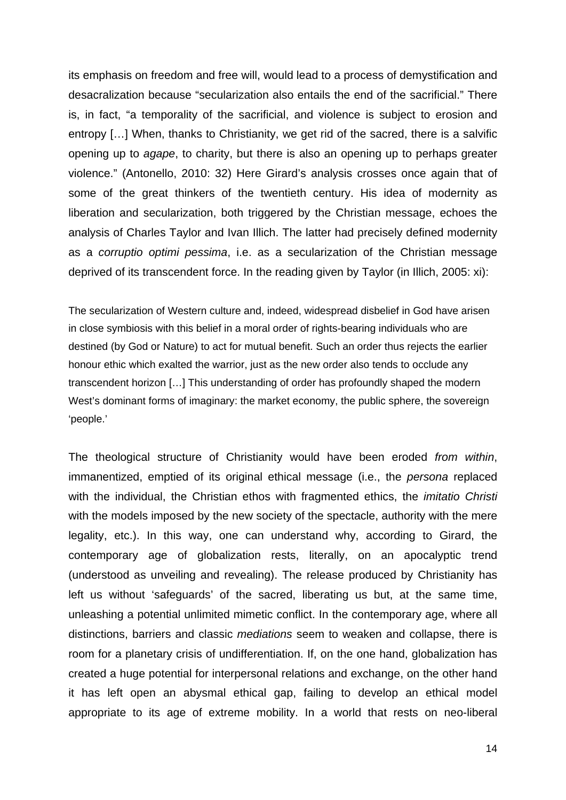its emphasis on freedom and free will, would lead to a process of demystification and desacralization because "secularization also entails the end of the sacrificial." There is, in fact, "a temporality of the sacrificial, and violence is subject to erosion and entropy […] When, thanks to Christianity, we get rid of the sacred, there is a salvific opening up to *agape*, to charity, but there is also an opening up to perhaps greater violence." (Antonello, 2010: 32) Here Girard's analysis crosses once again that of some of the great thinkers of the twentieth century. His idea of modernity as liberation and secularization, both triggered by the Christian message, echoes the analysis of Charles Taylor and Ivan Illich. The latter had precisely defined modernity as a *corruptio optimi pessima*, i.e. as a secularization of the Christian message deprived of its transcendent force. In the reading given by Taylor (in Illich, 2005: xi):

The secularization of Western culture and, indeed, widespread disbelief in God have arisen in close symbiosis with this belief in a moral order of rights-bearing individuals who are destined (by God or Nature) to act for mutual benefit. Such an order thus rejects the earlier honour ethic which exalted the warrior, just as the new order also tends to occlude any transcendent horizon […] This understanding of order has profoundly shaped the modern West's dominant forms of imaginary: the market economy, the public sphere, the sovereign 'people.'

The theological structure of Christianity would have been eroded *from within*, immanentized, emptied of its original ethical message (i.e., the *persona* replaced with the individual, the Christian ethos with fragmented ethics, the *imitatio Christi* with the models imposed by the new society of the spectacle, authority with the mere legality, etc.). In this way, one can understand why, according to Girard, the contemporary age of globalization rests, literally, on an apocalyptic trend (understood as unveiling and revealing). The release produced by Christianity has left us without 'safeguards' of the sacred, liberating us but, at the same time, unleashing a potential unlimited mimetic conflict. In the contemporary age, where all distinctions, barriers and classic *mediations* seem to weaken and collapse, there is room for a planetary crisis of undifferentiation. If, on the one hand, globalization has created a huge potential for interpersonal relations and exchange, on the other hand it has left open an abysmal ethical gap, failing to develop an ethical model appropriate to its age of extreme mobility. In a world that rests on neo-liberal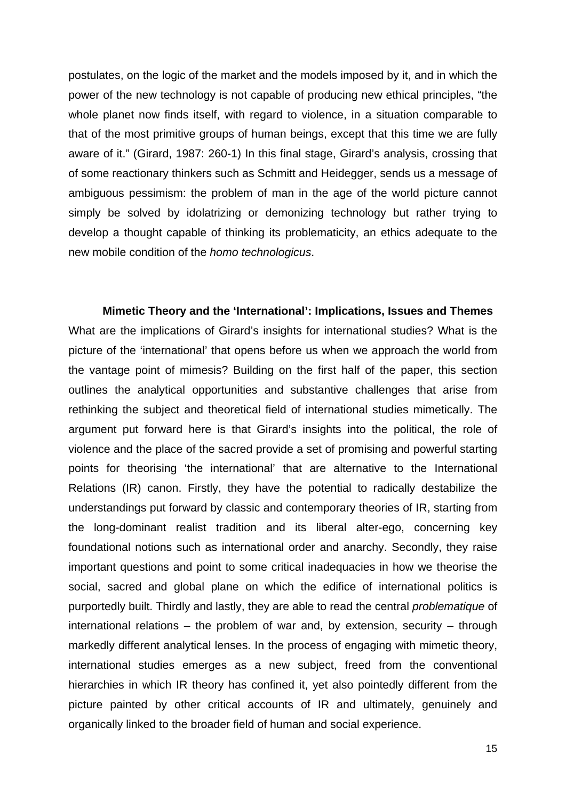postulates, on the logic of the market and the models imposed by it, and in which the power of the new technology is not capable of producing new ethical principles, "the whole planet now finds itself, with regard to violence, in a situation comparable to that of the most primitive groups of human beings, except that this time we are fully aware of it." (Girard, 1987: 260-1) In this final stage, Girard's analysis, crossing that of some reactionary thinkers such as Schmitt and Heidegger, sends us a message of ambiguous pessimism: the problem of man in the age of the world picture cannot simply be solved by idolatrizing or demonizing technology but rather trying to develop a thought capable of thinking its problematicity, an ethics adequate to the new mobile condition of the *homo technologicus*.

**Mimetic Theory and the 'International': Implications, Issues and Themes** What are the implications of Girard's insights for international studies? What is the picture of the 'international' that opens before us when we approach the world from the vantage point of mimesis? Building on the first half of the paper, this section outlines the analytical opportunities and substantive challenges that arise from rethinking the subject and theoretical field of international studies mimetically. The argument put forward here is that Girard's insights into the political, the role of violence and the place of the sacred provide a set of promising and powerful starting points for theorising 'the international' that are alternative to the International Relations (IR) canon. Firstly, they have the potential to radically destabilize the understandings put forward by classic and contemporary theories of IR, starting from the long-dominant realist tradition and its liberal alter-ego, concerning key foundational notions such as international order and anarchy. Secondly, they raise important questions and point to some critical inadequacies in how we theorise the social, sacred and global plane on which the edifice of international politics is purportedly built. Thirdly and lastly, they are able to read the central *problematique* of international relations – the problem of war and, by extension, security – through markedly different analytical lenses. In the process of engaging with mimetic theory, international studies emerges as a new subject, freed from the conventional hierarchies in which IR theory has confined it, yet also pointedly different from the picture painted by other critical accounts of IR and ultimately, genuinely and organically linked to the broader field of human and social experience.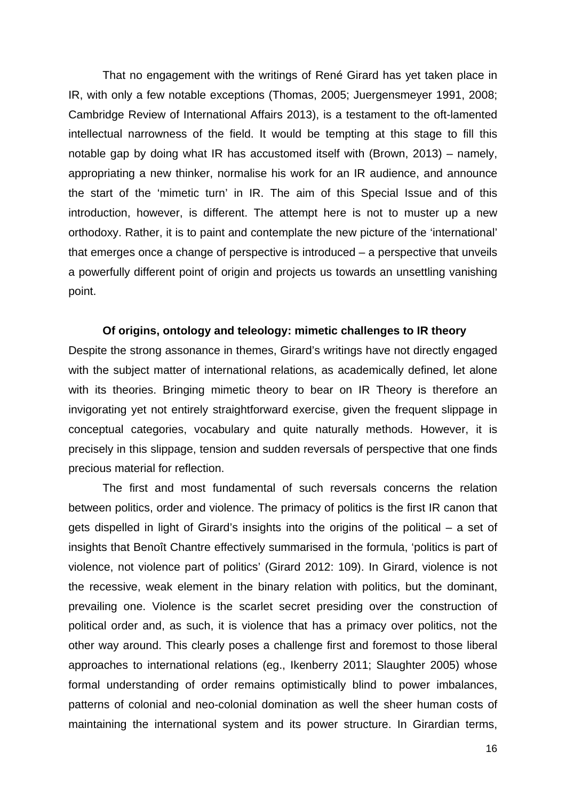That no engagement with the writings of René Girard has yet taken place in IR, with only a few notable exceptions (Thomas, 2005; Juergensmeyer 1991, 2008; Cambridge Review of International Affairs 2013), is a testament to the oft-lamented intellectual narrowness of the field. It would be tempting at this stage to fill this notable gap by doing what IR has accustomed itself with (Brown, 2013) – namely, appropriating a new thinker, normalise his work for an IR audience, and announce the start of the 'mimetic turn' in IR. The aim of this Special Issue and of this introduction, however, is different. The attempt here is not to muster up a new orthodoxy. Rather, it is to paint and contemplate the new picture of the 'international' that emerges once a change of perspective is introduced – a perspective that unveils a powerfully different point of origin and projects us towards an unsettling vanishing point.

# **Of origins, ontology and teleology: mimetic challenges to IR theory**

Despite the strong assonance in themes, Girard's writings have not directly engaged with the subject matter of international relations, as academically defined, let alone with its theories. Bringing mimetic theory to bear on IR Theory is therefore an invigorating yet not entirely straightforward exercise, given the frequent slippage in conceptual categories, vocabulary and quite naturally methods. However, it is precisely in this slippage, tension and sudden reversals of perspective that one finds precious material for reflection.

The first and most fundamental of such reversals concerns the relation between politics, order and violence. The primacy of politics is the first IR canon that gets dispelled in light of Girard's insights into the origins of the political – a set of insights that Benoît Chantre effectively summarised in the formula, 'politics is part of violence, not violence part of politics' (Girard 2012: 109). In Girard, violence is not the recessive, weak element in the binary relation with politics, but the dominant, prevailing one. Violence is the scarlet secret presiding over the construction of political order and, as such, it is violence that has a primacy over politics, not the other way around. This clearly poses a challenge first and foremost to those liberal approaches to international relations (eg., Ikenberry 2011; Slaughter 2005) whose formal understanding of order remains optimistically blind to power imbalances, patterns of colonial and neo-colonial domination as well the sheer human costs of maintaining the international system and its power structure. In Girardian terms,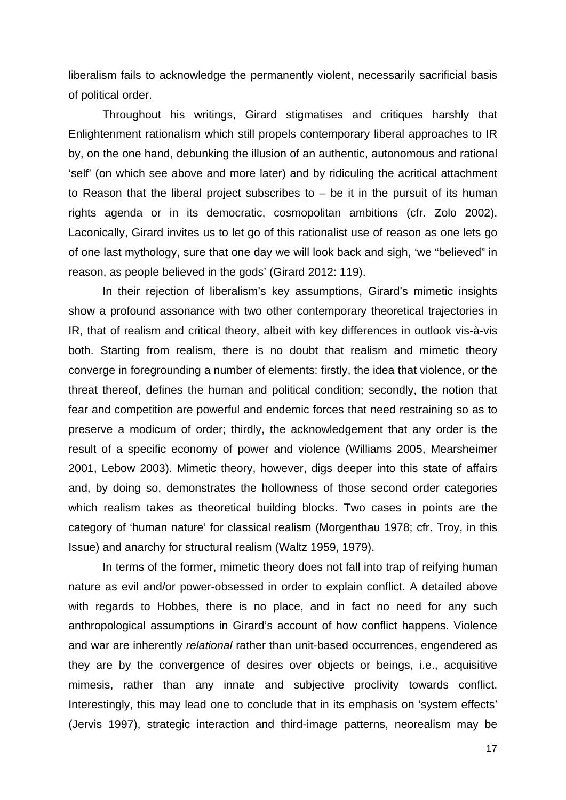liberalism fails to acknowledge the permanently violent, necessarily sacrificial basis of political order.

Throughout his writings, Girard stigmatises and critiques harshly that Enlightenment rationalism which still propels contemporary liberal approaches to IR by, on the one hand, debunking the illusion of an authentic, autonomous and rational 'self' (on which see above and more later) and by ridiculing the acritical attachment to Reason that the liberal project subscribes to  $-$  be it in the pursuit of its human rights agenda or in its democratic, cosmopolitan ambitions (cfr. Zolo 2002). Laconically, Girard invites us to let go of this rationalist use of reason as one lets go of one last mythology, sure that one day we will look back and sigh, 'we "believed" in reason, as people believed in the gods' (Girard 2012: 119).

In their rejection of liberalism's key assumptions, Girard's mimetic insights show a profound assonance with two other contemporary theoretical trajectories in IR, that of realism and critical theory, albeit with key differences in outlook vis-à-vis both. Starting from realism, there is no doubt that realism and mimetic theory converge in foregrounding a number of elements: firstly, the idea that violence, or the threat thereof, defines the human and political condition; secondly, the notion that fear and competition are powerful and endemic forces that need restraining so as to preserve a modicum of order; thirdly, the acknowledgement that any order is the result of a specific economy of power and violence (Williams 2005, Mearsheimer 2001, Lebow 2003). Mimetic theory, however, digs deeper into this state of affairs and, by doing so, demonstrates the hollowness of those second order categories which realism takes as theoretical building blocks. Two cases in points are the category of 'human nature' for classical realism (Morgenthau 1978; cfr. Troy, in this Issue) and anarchy for structural realism (Waltz 1959, 1979).

In terms of the former, mimetic theory does not fall into trap of reifying human nature as evil and/or power-obsessed in order to explain conflict. A detailed above with regards to Hobbes, there is no place, and in fact no need for any such anthropological assumptions in Girard's account of how conflict happens. Violence and war are inherently *relational* rather than unit-based occurrences, engendered as they are by the convergence of desires over objects or beings, i.e., acquisitive mimesis, rather than any innate and subjective proclivity towards conflict. Interestingly, this may lead one to conclude that in its emphasis on 'system effects' (Jervis 1997), strategic interaction and third-image patterns, neorealism may be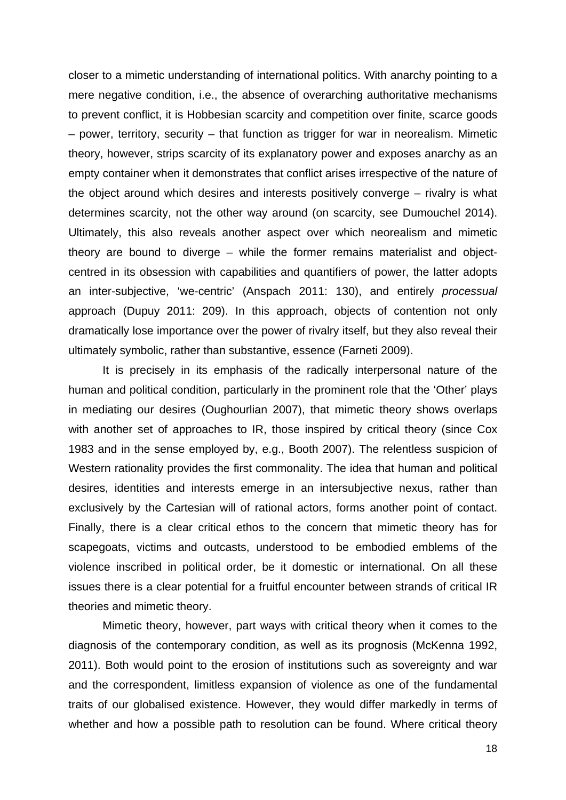closer to a mimetic understanding of international politics. With anarchy pointing to a mere negative condition, i.e., the absence of overarching authoritative mechanisms to prevent conflict, it is Hobbesian scarcity and competition over finite, scarce goods – power, territory, security – that function as trigger for war in neorealism. Mimetic theory, however, strips scarcity of its explanatory power and exposes anarchy as an empty container when it demonstrates that conflict arises irrespective of the nature of the object around which desires and interests positively converge – rivalry is what determines scarcity, not the other way around (on scarcity, see Dumouchel 2014). Ultimately, this also reveals another aspect over which neorealism and mimetic theory are bound to diverge – while the former remains materialist and objectcentred in its obsession with capabilities and quantifiers of power, the latter adopts an inter-subjective, 'we-centric' (Anspach 2011: 130), and entirely *processual* approach (Dupuy 2011: 209). In this approach, objects of contention not only dramatically lose importance over the power of rivalry itself, but they also reveal their ultimately symbolic, rather than substantive, essence (Farneti 2009).

It is precisely in its emphasis of the radically interpersonal nature of the human and political condition, particularly in the prominent role that the 'Other' plays in mediating our desires (Oughourlian 2007), that mimetic theory shows overlaps with another set of approaches to IR, those inspired by critical theory (since Cox 1983 and in the sense employed by, e.g., Booth 2007). The relentless suspicion of Western rationality provides the first commonality. The idea that human and political desires, identities and interests emerge in an intersubjective nexus, rather than exclusively by the Cartesian will of rational actors, forms another point of contact. Finally, there is a clear critical ethos to the concern that mimetic theory has for scapegoats, victims and outcasts, understood to be embodied emblems of the violence inscribed in political order, be it domestic or international. On all these issues there is a clear potential for a fruitful encounter between strands of critical IR theories and mimetic theory.

Mimetic theory, however, part ways with critical theory when it comes to the diagnosis of the contemporary condition, as well as its prognosis (McKenna 1992, 2011). Both would point to the erosion of institutions such as sovereignty and war and the correspondent, limitless expansion of violence as one of the fundamental traits of our globalised existence. However, they would differ markedly in terms of whether and how a possible path to resolution can be found. Where critical theory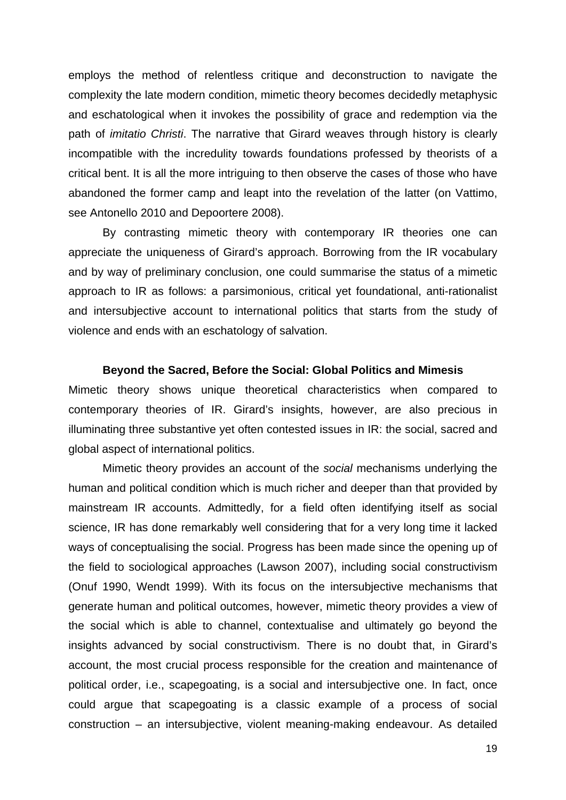employs the method of relentless critique and deconstruction to navigate the complexity the late modern condition, mimetic theory becomes decidedly metaphysic and eschatological when it invokes the possibility of grace and redemption via the path of *imitatio Christi*. The narrative that Girard weaves through history is clearly incompatible with the incredulity towards foundations professed by theorists of a critical bent. It is all the more intriguing to then observe the cases of those who have abandoned the former camp and leapt into the revelation of the latter (on Vattimo, see Antonello 2010 and Depoortere 2008).

By contrasting mimetic theory with contemporary IR theories one can appreciate the uniqueness of Girard's approach. Borrowing from the IR vocabulary and by way of preliminary conclusion, one could summarise the status of a mimetic approach to IR as follows: a parsimonious, critical yet foundational, anti-rationalist and intersubjective account to international politics that starts from the study of violence and ends with an eschatology of salvation.

#### **Beyond the Sacred, Before the Social: Global Politics and Mimesis**

Mimetic theory shows unique theoretical characteristics when compared to contemporary theories of IR. Girard's insights, however, are also precious in illuminating three substantive yet often contested issues in IR: the social, sacred and global aspect of international politics.

Mimetic theory provides an account of the *social* mechanisms underlying the human and political condition which is much richer and deeper than that provided by mainstream IR accounts. Admittedly, for a field often identifying itself as social science, IR has done remarkably well considering that for a very long time it lacked ways of conceptualising the social. Progress has been made since the opening up of the field to sociological approaches (Lawson 2007), including social constructivism (Onuf 1990, Wendt 1999). With its focus on the intersubjective mechanisms that generate human and political outcomes, however, mimetic theory provides a view of the social which is able to channel, contextualise and ultimately go beyond the insights advanced by social constructivism. There is no doubt that, in Girard's account, the most crucial process responsible for the creation and maintenance of political order, i.e., scapegoating, is a social and intersubjective one. In fact, once could argue that scapegoating is a classic example of a process of social construction – an intersubjective, violent meaning-making endeavour. As detailed

19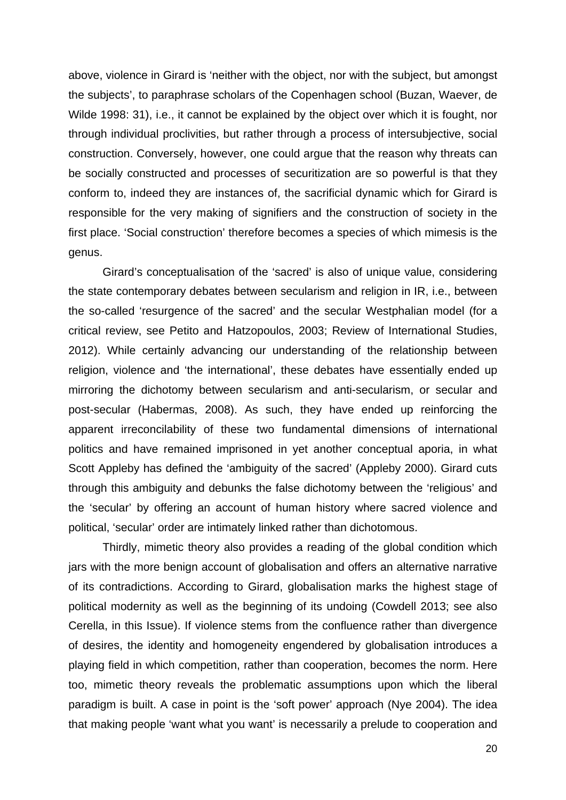above, violence in Girard is 'neither with the object, nor with the subject, but amongst the subjects', to paraphrase scholars of the Copenhagen school (Buzan, Waever, de Wilde 1998: 31), i.e., it cannot be explained by the object over which it is fought, nor through individual proclivities, but rather through a process of intersubjective, social construction. Conversely, however, one could argue that the reason why threats can be socially constructed and processes of securitization are so powerful is that they conform to, indeed they are instances of, the sacrificial dynamic which for Girard is responsible for the very making of signifiers and the construction of society in the first place. 'Social construction' therefore becomes a species of which mimesis is the genus.

Girard's conceptualisation of the 'sacred' is also of unique value, considering the state contemporary debates between secularism and religion in IR, i.e., between the so-called 'resurgence of the sacred' and the secular Westphalian model (for a critical review, see Petito and Hatzopoulos, 2003; Review of International Studies, 2012). While certainly advancing our understanding of the relationship between religion, violence and 'the international', these debates have essentially ended up mirroring the dichotomy between secularism and anti-secularism, or secular and post-secular (Habermas, 2008). As such, they have ended up reinforcing the apparent irreconcilability of these two fundamental dimensions of international politics and have remained imprisoned in yet another conceptual aporia, in what Scott Appleby has defined the 'ambiguity of the sacred' (Appleby 2000). Girard cuts through this ambiguity and debunks the false dichotomy between the 'religious' and the 'secular' by offering an account of human history where sacred violence and political, 'secular' order are intimately linked rather than dichotomous.

Thirdly, mimetic theory also provides a reading of the global condition which jars with the more benign account of globalisation and offers an alternative narrative of its contradictions. According to Girard, globalisation marks the highest stage of political modernity as well as the beginning of its undoing (Cowdell 2013; see also Cerella, in this Issue). If violence stems from the confluence rather than divergence of desires, the identity and homogeneity engendered by globalisation introduces a playing field in which competition, rather than cooperation, becomes the norm. Here too, mimetic theory reveals the problematic assumptions upon which the liberal paradigm is built. A case in point is the 'soft power' approach (Nye 2004). The idea that making people 'want what you want' is necessarily a prelude to cooperation and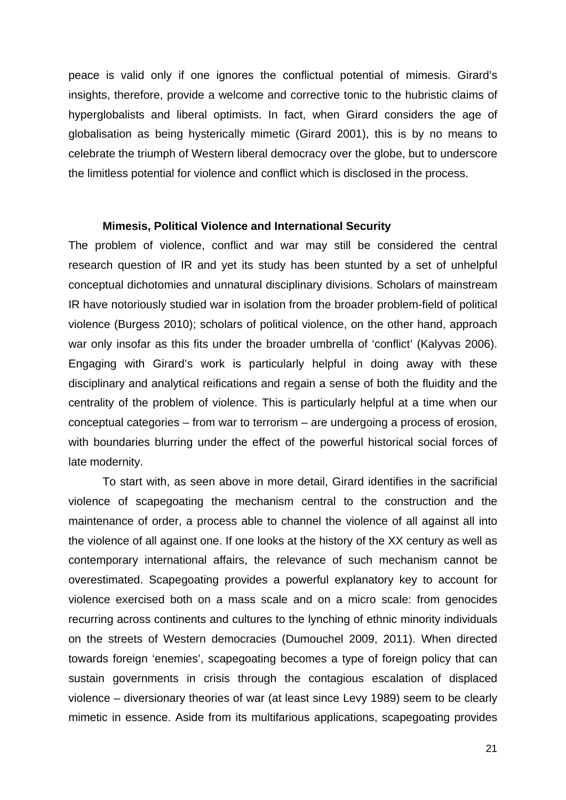peace is valid only if one ignores the conflictual potential of mimesis. Girard's insights, therefore, provide a welcome and corrective tonic to the hubristic claims of hyperglobalists and liberal optimists. In fact, when Girard considers the age of globalisation as being hysterically mimetic (Girard 2001), this is by no means to celebrate the triumph of Western liberal democracy over the globe, but to underscore the limitless potential for violence and conflict which is disclosed in the process.

#### **Mimesis, Political Violence and International Security**

The problem of violence, conflict and war may still be considered the central research question of IR and yet its study has been stunted by a set of unhelpful conceptual dichotomies and unnatural disciplinary divisions. Scholars of mainstream IR have notoriously studied war in isolation from the broader problem-field of political violence (Burgess 2010); scholars of political violence, on the other hand, approach war only insofar as this fits under the broader umbrella of 'conflict' (Kalyvas 2006). Engaging with Girard's work is particularly helpful in doing away with these disciplinary and analytical reifications and regain a sense of both the fluidity and the centrality of the problem of violence. This is particularly helpful at a time when our conceptual categories – from war to terrorism – are undergoing a process of erosion, with boundaries blurring under the effect of the powerful historical social forces of late modernity.

To start with, as seen above in more detail, Girard identifies in the sacrificial violence of scapegoating the mechanism central to the construction and the maintenance of order, a process able to channel the violence of all against all into the violence of all against one. If one looks at the history of the XX century as well as contemporary international affairs, the relevance of such mechanism cannot be overestimated. Scapegoating provides a powerful explanatory key to account for violence exercised both on a mass scale and on a micro scale: from genocides recurring across continents and cultures to the lynching of ethnic minority individuals on the streets of Western democracies (Dumouchel 2009, 2011). When directed towards foreign 'enemies', scapegoating becomes a type of foreign policy that can sustain governments in crisis through the contagious escalation of displaced violence – diversionary theories of war (at least since Levy 1989) seem to be clearly mimetic in essence. Aside from its multifarious applications, scapegoating provides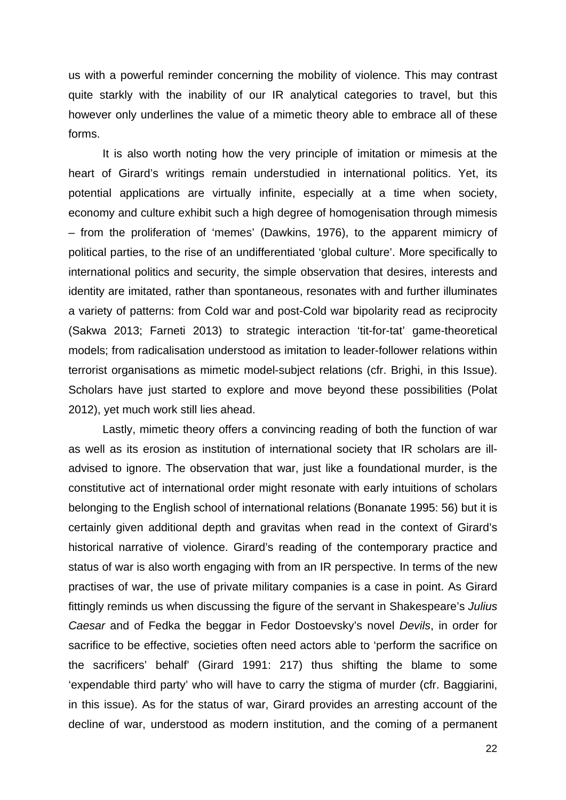us with a powerful reminder concerning the mobility of violence. This may contrast quite starkly with the inability of our IR analytical categories to travel, but this however only underlines the value of a mimetic theory able to embrace all of these forms.

It is also worth noting how the very principle of imitation or mimesis at the heart of Girard's writings remain understudied in international politics. Yet, its potential applications are virtually infinite, especially at a time when society, economy and culture exhibit such a high degree of homogenisation through mimesis – from the proliferation of 'memes' (Dawkins, 1976), to the apparent mimicry of political parties, to the rise of an undifferentiated 'global culture'. More specifically to international politics and security, the simple observation that desires, interests and identity are imitated, rather than spontaneous, resonates with and further illuminates a variety of patterns: from Cold war and post-Cold war bipolarity read as reciprocity (Sakwa 2013; Farneti 2013) to strategic interaction 'tit-for-tat' game-theoretical models; from radicalisation understood as imitation to leader-follower relations within terrorist organisations as mimetic model-subject relations (cfr. Brighi, in this Issue). Scholars have just started to explore and move beyond these possibilities (Polat 2012), yet much work still lies ahead.

Lastly, mimetic theory offers a convincing reading of both the function of war as well as its erosion as institution of international society that IR scholars are illadvised to ignore. The observation that war, just like a foundational murder, is the constitutive act of international order might resonate with early intuitions of scholars belonging to the English school of international relations (Bonanate 1995: 56) but it is certainly given additional depth and gravitas when read in the context of Girard's historical narrative of violence. Girard's reading of the contemporary practice and status of war is also worth engaging with from an IR perspective. In terms of the new practises of war, the use of private military companies is a case in point. As Girard fittingly reminds us when discussing the figure of the servant in Shakespeare's *Julius Caesar* and of Fedka the beggar in Fedor Dostoevsky's novel *Devils*, in order for sacrifice to be effective, societies often need actors able to 'perform the sacrifice on the sacrificers' behalf' (Girard 1991: 217) thus shifting the blame to some 'expendable third party' who will have to carry the stigma of murder (cfr. Baggiarini, in this issue). As for the status of war, Girard provides an arresting account of the decline of war, understood as modern institution, and the coming of a permanent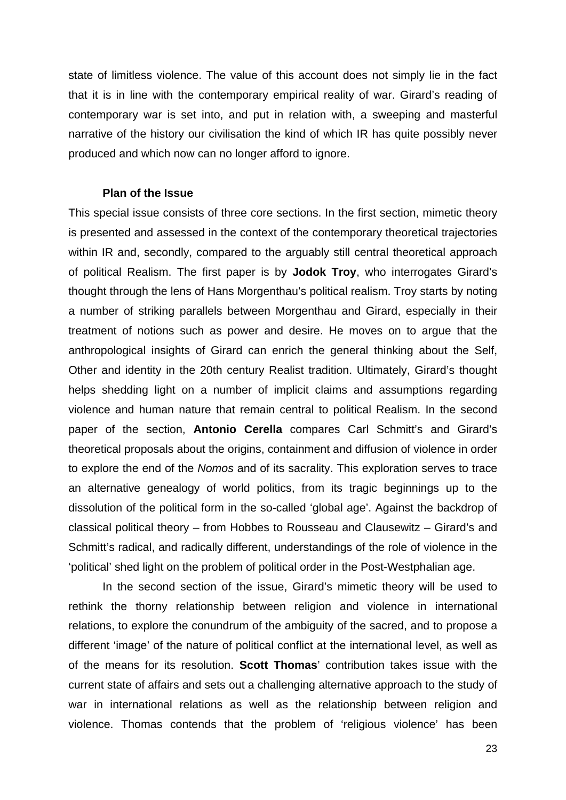state of limitless violence. The value of this account does not simply lie in the fact that it is in line with the contemporary empirical reality of war. Girard's reading of contemporary war is set into, and put in relation with, a sweeping and masterful narrative of the history our civilisation the kind of which IR has quite possibly never produced and which now can no longer afford to ignore.

#### **Plan of the Issue**

This special issue consists of three core sections. In the first section, mimetic theory is presented and assessed in the context of the contemporary theoretical trajectories within IR and, secondly, compared to the arguably still central theoretical approach of political Realism. The first paper is by **Jodok Troy**, who interrogates Girard's thought through the lens of Hans Morgenthau's political realism. Troy starts by noting a number of striking parallels between Morgenthau and Girard, especially in their treatment of notions such as power and desire. He moves on to argue that the anthropological insights of Girard can enrich the general thinking about the Self, Other and identity in the 20th century Realist tradition. Ultimately, Girard's thought helps shedding light on a number of implicit claims and assumptions regarding violence and human nature that remain central to political Realism. In the second paper of the section, **Antonio Cerella** compares Carl Schmitt's and Girard's theoretical proposals about the origins, containment and diffusion of violence in order to explore the end of the *Nomos* and of its sacrality. This exploration serves to trace an alternative genealogy of world politics, from its tragic beginnings up to the dissolution of the political form in the so-called 'global age'. Against the backdrop of classical political theory – from Hobbes to Rousseau and Clausewitz – Girard's and Schmitt's radical, and radically different, understandings of the role of violence in the 'political' shed light on the problem of political order in the Post-Westphalian age.

In the second section of the issue, Girard's mimetic theory will be used to rethink the thorny relationship between religion and violence in international relations, to explore the conundrum of the ambiguity of the sacred, and to propose a different 'image' of the nature of political conflict at the international level, as well as of the means for its resolution. **Scott Thomas**' contribution takes issue with the current state of affairs and sets out a challenging alternative approach to the study of war in international relations as well as the relationship between religion and violence. Thomas contends that the problem of 'religious violence' has been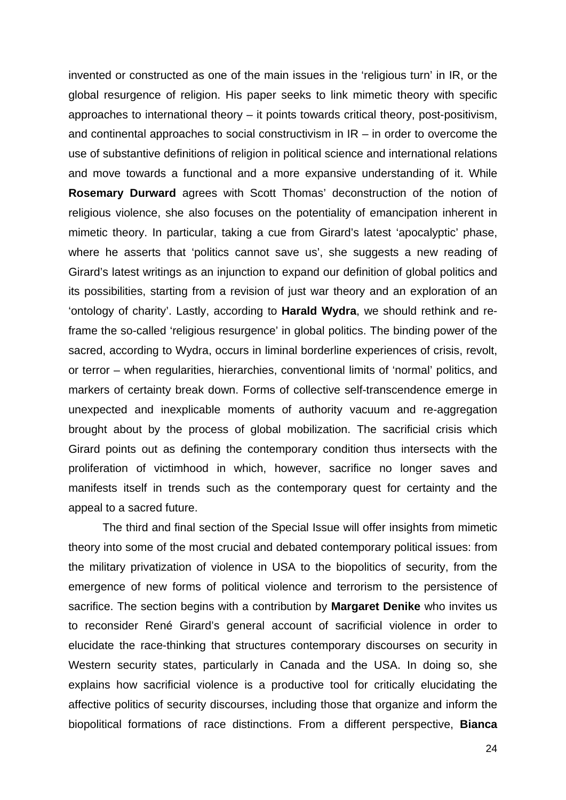invented or constructed as one of the main issues in the 'religious turn' in IR, or the global resurgence of religion. His paper seeks to link mimetic theory with specific approaches to international theory – it points towards critical theory, post-positivism, and continental approaches to social constructivism in IR – in order to overcome the use of substantive definitions of religion in political science and international relations and move towards a functional and a more expansive understanding of it. While **Rosemary Durward** agrees with Scott Thomas' deconstruction of the notion of religious violence, she also focuses on the potentiality of emancipation inherent in mimetic theory. In particular, taking a cue from Girard's latest 'apocalyptic' phase, where he asserts that 'politics cannot save us', she suggests a new reading of Girard's latest writings as an injunction to expand our definition of global politics and its possibilities, starting from a revision of just war theory and an exploration of an 'ontology of charity'. Lastly, according to **Harald Wydra**, we should rethink and reframe the so-called 'religious resurgence' in global politics. The binding power of the sacred, according to Wydra, occurs in liminal borderline experiences of crisis, revolt, or terror – when regularities, hierarchies, conventional limits of 'normal' politics, and markers of certainty break down. Forms of collective self-transcendence emerge in unexpected and inexplicable moments of authority vacuum and re-aggregation brought about by the process of global mobilization. The sacrificial crisis which Girard points out as defining the contemporary condition thus intersects with the proliferation of victimhood in which, however, sacrifice no longer saves and manifests itself in trends such as the contemporary quest for certainty and the appeal to a sacred future.

The third and final section of the Special Issue will offer insights from mimetic theory into some of the most crucial and debated contemporary political issues: from the military privatization of violence in USA to the biopolitics of security, from the emergence of new forms of political violence and terrorism to the persistence of sacrifice. The section begins with a contribution by **Margaret Denike** who invites us to reconsider René Girard's general account of sacrificial violence in order to elucidate the race-thinking that structures contemporary discourses on security in Western security states, particularly in Canada and the USA. In doing so, she explains how sacrificial violence is a productive tool for critically elucidating the affective politics of security discourses, including those that organize and inform the biopolitical formations of race distinctions. From a different perspective, **Bianca**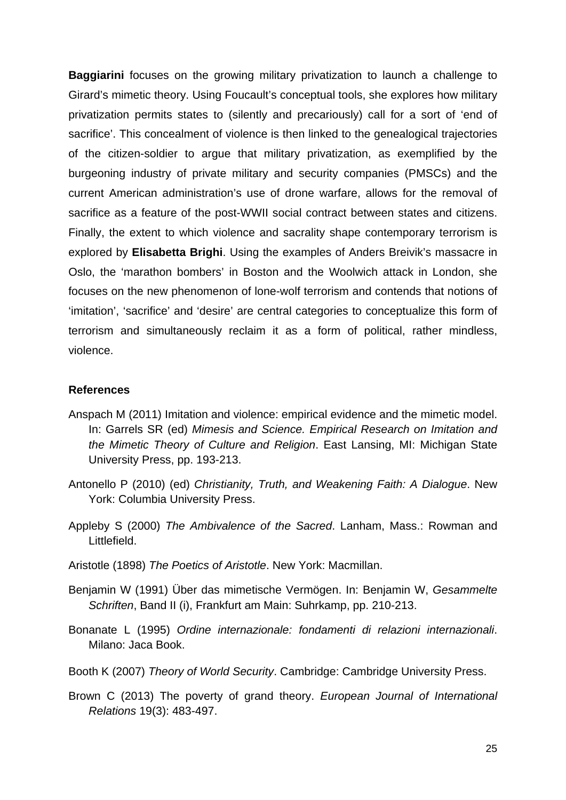**Baggiarini** focuses on the growing military privatization to launch a challenge to Girard's mimetic theory. Using Foucault's conceptual tools, she explores how military privatization permits states to (silently and precariously) call for a sort of 'end of sacrifice'. This concealment of violence is then linked to the genealogical trajectories of the citizen-soldier to argue that military privatization, as exemplified by the burgeoning industry of private military and security companies (PMSCs) and the current American administration's use of drone warfare, allows for the removal of sacrifice as a feature of the post-WWII social contract between states and citizens. Finally, the extent to which violence and sacrality shape contemporary terrorism is explored by **Elisabetta Brighi**. Using the examples of Anders Breivik's massacre in Oslo, the 'marathon bombers' in Boston and the Woolwich attack in London, she focuses on the new phenomenon of lone-wolf terrorism and contends that notions of 'imitation', 'sacrifice' and 'desire' are central categories to conceptualize this form of terrorism and simultaneously reclaim it as a form of political, rather mindless, violence.

### **References**

- Anspach M (2011) Imitation and violence: empirical evidence and the mimetic model. In: Garrels SR (ed) *Mimesis and Science. Empirical Research on Imitation and the Mimetic Theory of Culture and Religion*. East Lansing, MI: Michigan State University Press, pp. 193-213.
- Antonello P (2010) (ed) *Christianity, Truth, and Weakening Faith: A Dialogue*. New York: Columbia University Press.
- Appleby S (2000) *The Ambivalence of the Sacred*. Lanham, Mass.: Rowman and Littlefield.
- Aristotle (1898) *The Poetics of Aristotle*. New York: Macmillan.
- Benjamin W (1991) Über das mimetische Vermögen. In: Benjamin W, *Gesammelte Schriften*, Band II (i), Frankfurt am Main: Suhrkamp, pp. 210-213.
- Bonanate L (1995) *Ordine internazionale: fondamenti di relazioni internazionali*. Milano: Jaca Book.
- Booth K (2007) *Theory of World Security*. Cambridge: Cambridge University Press.
- Brown C (2013) The poverty of grand theory. *European Journal of International Relations* 19(3): 483-497.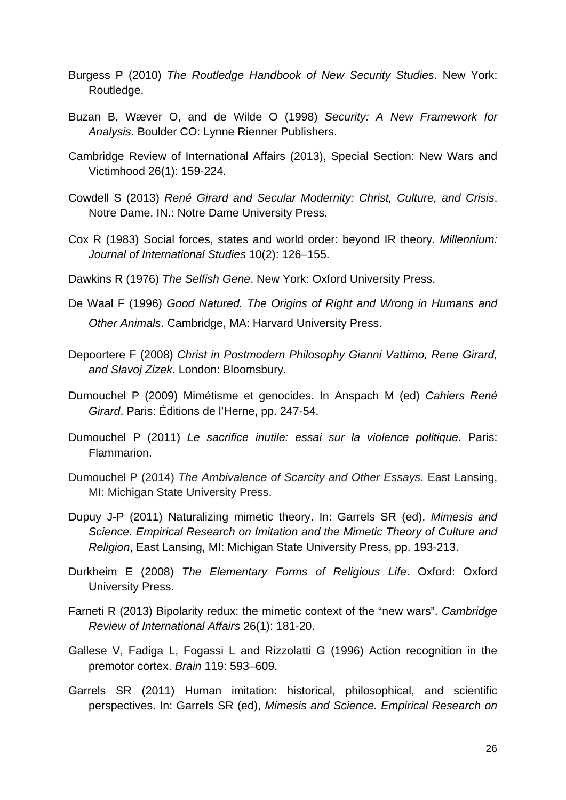- Burgess P (2010) *The Routledge Handbook of New Security Studies*. New York: Routledge.
- Buzan B, Wæver O, and de Wilde O (1998) *Security: A New Framework for Analysis*. Boulder CO: Lynne Rienner Publishers.
- Cambridge Review of International Affairs (2013), Special Section: New Wars and Victimhood 26(1): 159-224.
- Cowdell S (2013) *René Girard and Secular Modernity: Christ, Culture, and Crisis*. Notre Dame, IN.: Notre Dame University Press.
- Cox R (1983) Social forces, states and world order: beyond IR theory. *Millennium: Journal of International Studies* 10(2): 126–155.
- Dawkins R (1976) *The Selfish Gene*. New York: Oxford University Press.
- De Waal F (1996) *Good Natured. The Origins of Right and Wrong in Humans and Other Animals*. Cambridge, MA: Harvard University Press.
- Depoortere F (2008) *Christ in Postmodern Philosophy Gianni Vattimo, Rene Girard, and Slavoj Zizek*. London: Bloomsbury.
- Dumouchel P (2009) Mimétisme et genocides. In Anspach M (ed) *Cahiers René Girard*. Paris: Éditions de l'Herne, pp. 247-54.
- Dumouchel P (2011) *Le sacrifice inutile: essai sur la violence politique*. Paris: Flammarion.
- Dumouchel P (2014) *The Ambivalence of Scarcity and Other Essays*. East Lansing, MI: Michigan State University Press.
- Dupuy J-P (2011) Naturalizing mimetic theory. In: Garrels SR (ed), *Mimesis and Science. Empirical Research on Imitation and the Mimetic Theory of Culture and Religion*, East Lansing, MI: Michigan State University Press, pp. 193-213.
- Durkheim E (2008) *The Elementary Forms of Religious Life*. Oxford: Oxford University Press.
- Farneti R (2013) Bipolarity redux: the mimetic context of the "new wars". *Cambridge Review of International Affairs* 26(1): 181-20.
- Gallese V, Fadiga L, Fogassi L and Rizzolatti G (1996) Action recognition in the premotor cortex. *Brain* 119: 593–609.
- Garrels SR (2011) Human imitation: historical, philosophical, and scientific perspectives. In: Garrels SR (ed), *Mimesis and Science. Empirical Research on*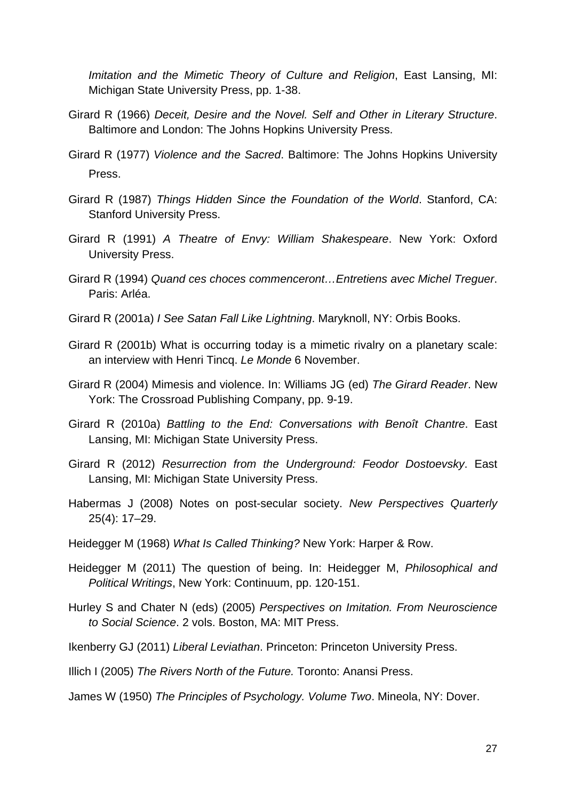*Imitation and the Mimetic Theory of Culture and Religion*, East Lansing, MI: Michigan State University Press, pp. 1-38.

- Girard R (1966) *Deceit, Desire and the Novel. Self and Other in Literary Structure*. Baltimore and London: The Johns Hopkins University Press.
- Girard R (1977) *Violence and the Sacred*. Baltimore: The Johns Hopkins University Press.
- Girard R (1987) *Things Hidden Since the Foundation of the World*. Stanford, CA: Stanford University Press.
- Girard R (1991) *A Theatre of Envy: William Shakespeare*. New York: Oxford University Press.
- Girard R (1994) *Quand ces choces commenceront…Entretiens avec Michel Treguer*. Paris: Arléa.
- Girard R (2001a) *I See Satan Fall Like Lightning*. Maryknoll, NY: Orbis Books.
- Girard R (2001b) What is occurring today is a mimetic rivalry on a planetary scale: an interview with Henri Tincq. *Le Monde* 6 November.
- Girard R (2004) Mimesis and violence. In: Williams JG (ed) *The Girard Reader*. New York: The Crossroad Publishing Company, pp. 9-19.
- Girard R (2010a) *Battling to the End: Conversations with Benoît Chantre*. East Lansing, MI: Michigan State University Press.
- Girard R (2012) *Resurrection from the Underground: Feodor Dostoevsky*. East Lansing, MI: Michigan State University Press.
- Habermas J (2008) Notes on post-secular society. *New Perspectives Quarterly* 25(4): 17–29.
- Heidegger M (1968) *What Is Called Thinking?* New York: Harper & Row.
- Heidegger M (2011) The question of being. In: Heidegger M, *Philosophical and Political Writings*, New York: Continuum, pp. 120-151.
- Hurley S and Chater N (eds) (2005) *Perspectives on Imitation. From Neuroscience to Social Science*. 2 vols. Boston, MA: MIT Press.
- Ikenberry GJ (2011) *Liberal Leviathan*. Princeton: Princeton University Press.
- Illich I (2005) *The Rivers North of the Future.* Toronto: Anansi Press.

James W (1950) *The Principles of Psychology. Volume Two*. Mineola, NY: Dover.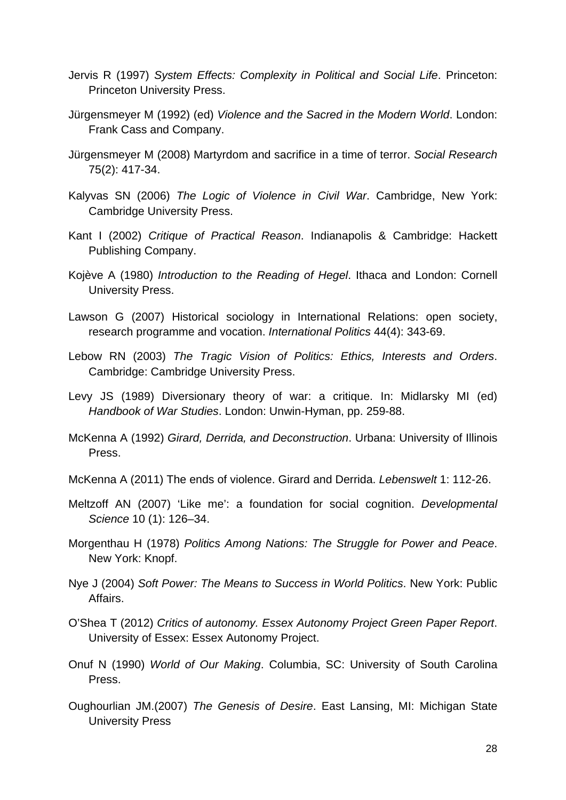- Jervis R (1997) *System Effects: Complexity in Political and Social Life*. Princeton: Princeton University Press.
- Jürgensmeyer M (1992) (ed) *Violence and the Sacred in the Modern World*. London: Frank Cass and Company.
- Jürgensmeyer M (2008) Martyrdom and sacrifice in a time of terror. *Social Research* 75(2): 417-34.
- Kalyvas SN (2006) *The Logic of Violence in Civil War*. Cambridge, New York: Cambridge University Press.
- Kant I (2002) *Critique of Practical Reason*. Indianapolis & Cambridge: Hackett Publishing Company.
- Kojève A (1980) *Introduction to the Reading of Hegel*. Ithaca and London: Cornell University Press.
- Lawson G (2007) Historical sociology in International Relations: open society, research programme and vocation. *International Politics* 44(4): 343-69.
- Lebow RN (2003) *The Tragic Vision of Politics: Ethics, Interests and Orders*. Cambridge: Cambridge University Press.
- Levy JS (1989) Diversionary theory of war: a critique. In: Midlarsky MI (ed) *Handbook of War Studies*. London: Unwin-Hyman, pp. 259-88.
- McKenna A (1992) *Girard, Derrida, and Deconstruction*. Urbana: University of Illinois Press.
- McKenna A (2011) The ends of violence. Girard and Derrida. *Lebenswelt* 1: 112-26.
- Meltzoff AN (2007) 'Like me': a foundation for social cognition. *Developmental Science* 10 (1): 126–34.
- Morgenthau H (1978) *Politics Among Nations: The Struggle for Power and Peace*. New York: Knopf.
- Nye J (2004) *Soft Power: The Means to Success in World Politics*. New York: Public Affairs.
- O'Shea T (2012) *Critics of autonomy. Essex Autonomy Project Green Paper Report*. University of Essex: Essex Autonomy Project.
- Onuf N (1990) *World of Our Making*. Columbia, SC: University of South Carolina Press.
- Oughourlian JM.(2007) *The Genesis of Desire*. East Lansing, MI: Michigan State University Press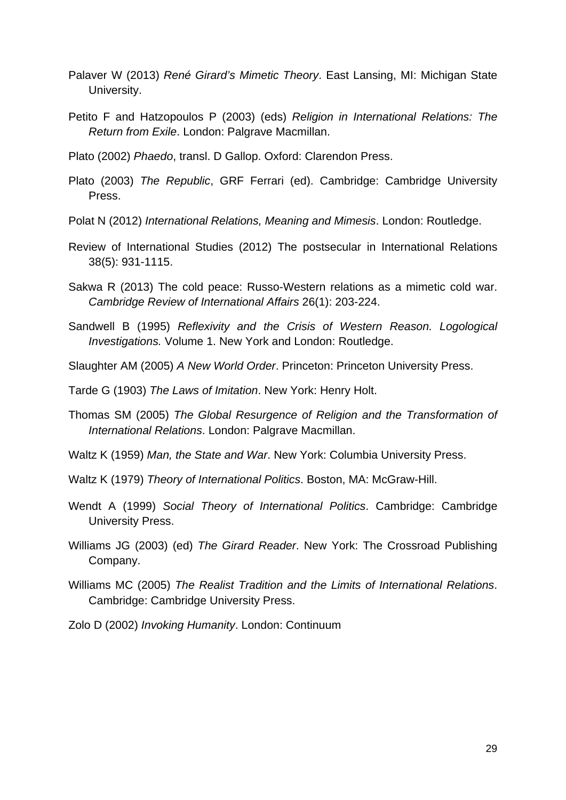- Palaver W (2013) *René Girard's Mimetic Theory*. East Lansing, MI: Michigan State University.
- Petito F and Hatzopoulos P (2003) (eds) *Religion in International Relations: The Return from Exile*. London: Palgrave Macmillan.

Plato (2002) *Phaedo*, transl. D Gallop. Oxford: Clarendon Press.

- Plato (2003) *The Republic*, GRF Ferrari (ed). Cambridge: Cambridge University Press.
- Polat N (2012) *International Relations, Meaning and Mimesis*. London: Routledge.
- Review of International Studies (2012) The postsecular in International Relations 38(5): 931-1115.
- Sakwa R (2013) The cold peace: Russo-Western relations as a mimetic cold war. *Cambridge Review of International Affairs* 26(1): 203-224.
- Sandwell B (1995) *Reflexivity and the Crisis of Western Reason. Logological Investigations.* Volume 1. New York and London: Routledge.
- Slaughter AM (2005) *A New World Order*. Princeton: Princeton University Press.

Tarde G (1903) *The Laws of Imitation*. New York: Henry Holt.

- Thomas SM (2005) *The Global Resurgence of Religion and the Transformation of International Relations*. London: Palgrave Macmillan.
- Waltz K (1959) *Man, the State and War*. New York: Columbia University Press.
- Waltz K (1979) *Theory of International Politics*. Boston, MA: McGraw-Hill.
- Wendt A (1999) *Social Theory of International Politics*. Cambridge: Cambridge University Press.
- Williams JG (2003) (ed) *The Girard Reader*. New York: The Crossroad Publishing Company.
- Williams MC (2005) *The Realist Tradition and the Limits of International Relations*. Cambridge: Cambridge University Press.

Zolo D (2002) *Invoking Humanity*. London: Continuum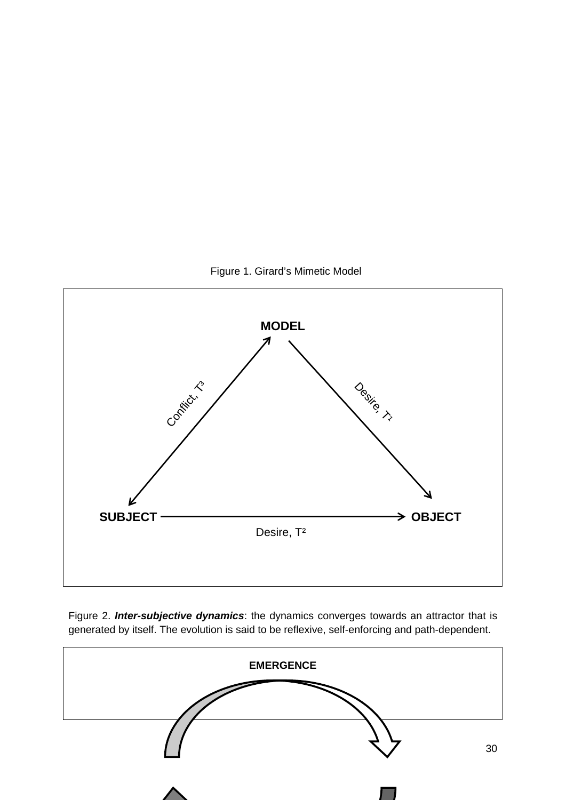

Figure 1. Girard's Mimetic Model

Figure 2. *Inter-subjective dynamics*: the dynamics converges towards an attractor that is generated by itself. The evolution is said to be reflexive, self-enforcing and path-dependent.